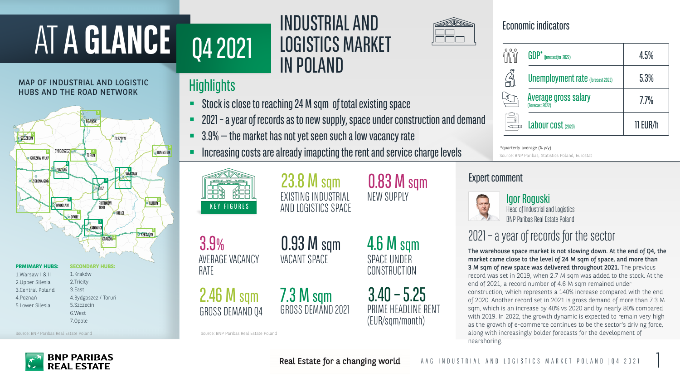4.6 M sqm SPACE UNDER **CONSTRUCTION** 

 $3.40 - 5.25$ PRIME HEADLINE RENT (EUR/sqm/month)

Source: BNP Paribas Real Estate Poland Source: BNP Paribas Real Estate Poland

**BNP PARIBAS RFAI FSTATF** 

# 23.8 M sqm EXISTING INDUSTRIAL KEY FIGURES AND LOGISTICS SPACE

# ATA **GLANCE**

Head of Industrial and Logistics **BNP Paribas Real Estate Poland** 



0.83 M sqm NEW SUPPLY

0.93 M sqm VACANT SPACE

2.46 M sqm GROSS DEMAND Q4

3.9% AVERAGE VACANCY RATE

### Igor Roguski

| <b>GDP</b> * (forecast for 2022)               | 4.5%       |
|------------------------------------------------|------------|
| <b>Unemployment rate (forecast 2022)</b>       | 5.3%       |
| <b>Average gross salary</b><br>(Forecast 2022) | 77%        |
| Labour cost (2020)                             | $11$ EUR/h |

- 2021 –a year of records as to new supply, space under construction and demand
- $\blacksquare$  3.9%  $-$  the market has not yet seen such a low vacancy rate
- Increasing costs are already imapcting the rent and service charge levels



The warehouse space market is not slowing down. At the end of Q4, the market came close to the level of 24 M sqm of space, and more than 3 M sqm of new space was delivered throughout 2021. The previous record was set in 2019, when 2.7 M sqm was added to the stock. At the end of 2021, a record number of 4.6 M sqm remained under construction, which represents a 140% increase compared with the end of 2020. Another record set in 2021 is gross demand of more than 7.3 M sqm, which is an increase by 40% vs 2020 and by nearly 80% compared with 2019. In 2022, the growth dynamic is expected to remain very high as the growth of e-commerce continues to be the sector's driving force, along with increasingly bolder forecasts for the development of nearshoring.

# 2021 – a year of records for the sector

7.3 M sqm

GROSS DEMAND 2021

Q4 2021

INDUSTRIAL AND

LOGISTICS MARKET

IN POLAND

Stock is close to reaching 24 M sqm of total existing space



### MAP OF INDUSTRIAL AND LOGISTIC HUBS AND THE ROAD NETWORK

4.Poznań

5.Lower Silesia

Real Estate for a changing world



4.Bydgoszcz / Toruń

5.Szczecin 6.West 7.Opole

# **Highlights**

\*quarterly average (% y/y) Source: BNP Paribas, Statistics Poland, Eurostat

## Expert comment



# Economic indicators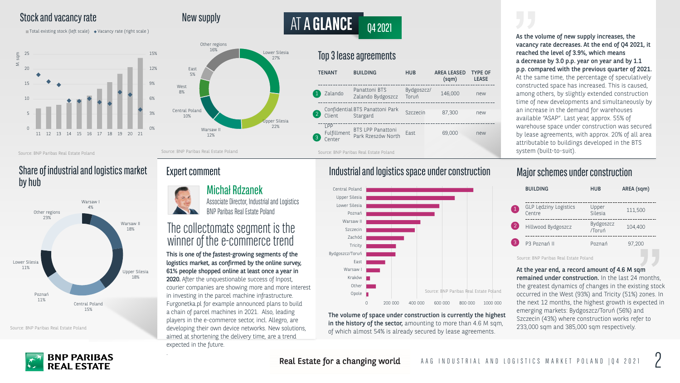12%

Central Poland 10%

West 8%

East 5%

16%

# AT A **GLANCE** 04 2021

### Stock and vacancy rate New supply



 $\Box$  Total existing stock (left scale)  $\leftrightarrow$  Vacancy rate (right scale)

At the year end, a record amount of 4.6 M sqm remained under construction. In the last 24 months, the greatest dynamics of changes in the existing stock occurred in the West (93%) and Tricity (51%) zones. In the next 12 months, the highest growth is expected in emerging markets: Bydgoszcz/Toruń (56%) and Szczecin (43%) where construction works refer to 233,000 sqm and 385,000 sqm respectively.

This is one of the fastest-growing segments of the logistics market, as confirmed by the online survey, 61% people shopped online at least once a year in 2020. After the unquestionable success of Inpost, courier companies are showing more and more interest in investing in the parcel machine infrastructure. Furgonetka.pl for example announced plans to build a chain of parcel machines in 2021. Also, leading players in the e-commerce sector, incl. Allegro, are developing their own device networks. New solutions, aimed at shortening the delivery time, are a trend expected in the future.

.

## The collectomats segment is the winner of the e-commerce trend







As the volume of new supply increases, the vacancy rate decreases. At the end of Q4 2021, it reached the level of 3.9%, which means a decrease by 3.0 p.p. year on year and by 1.1 p.p. compared with the previous quarter of 2021. At the same time, the percentage of speculatively constructed space has increased. This is caused, among others, by slightly extended construction time of new developments and simultaneously by an increase in the demand for warehouses available "ASAP". Last year, approx. 55% of warehouse space under construction was secured by lease agreements, with approx. 20% of all area attributable to buildings developed in the BTS system (built-to-suit).

|   | <b>BUILDING</b>                 | <b>HUB</b>          | AREA (sqm) |
|---|---------------------------------|---------------------|------------|
|   | GLP Lędziny Logistics<br>Centre | Upper<br>Silesia    | 111,500    |
|   | Hillwood Bydgoszcz              | Bydgoszcz<br>/Toruń | 104,400    |
| 3 | P3 Poznań II                    | Poznań              | 97,200     |

### Michał Rdzanek

Associate Director, Industrial and Logistics **BNP Paribas Real Estate Poland** 

| <b>BUILDING</b>                                                                                                                                                                                                                                                                                                                                                                                                                                                             | <b>HUB</b>          | <b>AREA LEASED</b><br>(sqm) | <b>TYPE OF</b><br><b>LEASE</b> |  |
|-----------------------------------------------------------------------------------------------------------------------------------------------------------------------------------------------------------------------------------------------------------------------------------------------------------------------------------------------------------------------------------------------------------------------------------------------------------------------------|---------------------|-----------------------------|--------------------------------|--|
| Panattoni BTS<br>Zalando Bydgoszcz                                                                                                                                                                                                                                                                                                                                                                                                                                          | Bydgoszcz/<br>Toruń | 146,000                     | new                            |  |
| <b>BTS Panattoni Park</b><br>Stargard                                                                                                                                                                                                                                                                                                                                                                                                                                       | Szczecin            | 87,300                      | new                            |  |
| <b>BTS LPP Panattoni</b><br>Park Rzeszów North                                                                                                                                                                                                                                                                                                                                                                                                                              | East                | 69,000                      | new                            |  |
| $\begin{array}{ccccccccccccccccc} \multicolumn{4}{c }{\multicolumn{3}{c }{\multicolumn{3}{c }{\multicolumn{3}{c }{\multicolumn{3}{c }{\multicolumn{3}{c}}}} & \multicolumn{3}{c }{\multicolumn{3}{c }{\multicolumn{3}{c }{\multicolumn{3}{c }{\multicolumn{3}{c}}}} & \multicolumn{3}{c }{\multicolumn{3}{c }{\multicolumn{3}{c }{\multicolumn{3}{c }{\multicolumn{3}{c }{\multicolumn{3}{c }{\multicolumn{3}{c }{\multicolumn{3}{c }{\multicolumn{3}{c }{\multicolumn{3}{$ |                     |                             |                                |  |

The volume of space under construction is currently the highest in the history of the sector, amounting to more than 4.6 M sqm, of which almost 54% is already secured by lease agreements.

Real Estate for a changing world

### Share of industrial and logistics market by hub

Source: BNP Paribas Real Estate Poland Source: BNP Paribas Real Estate Poland

Source: BNP Paribas Real Estate Poland



# Expert comment

Source: BNP Paribas Real Estate Poland

### Industrial and logistics space under construction

### Major schemes under construction

Source: BNP Paribas Real Estate Poland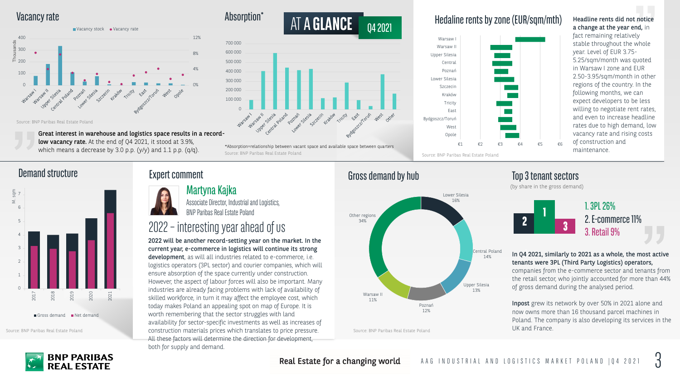### Martyna Kajka

Associate Director, Industrial and Logistics, BNP Paribas Real Estate Poland





2022 will be another record-setting year on the market. In the current year, e-commerce in logistics will continue its strong development, as will all industries related to e-commerce, i.e. logistics operators (3PL sector) and courier companies, which will ensure absorption of the space currently under construction. However, the aspect of labour forces will also be important. Many industries are already facing problems with lack of availability of skilled workforce, in turn it may affect the employee cost, which today makes Poland an appealing spot on map of Europe. It is worth remembering that the sector struggles with land availability for sector-specific investments as well as increases of construction materials prices which translates to price pressure. All these factors will determine the direction for development, both for supply and demand.

Absorption<sup>\*</sup>







ATA **GLANCE** Q4 2021



which means a decrease by 3.0 p.p. (y/y) and 1.1 p.p. (q/q).

In Q4 2021, similarly to 2021 as a whole, the most active tenants were 3PL (Third Party Logistics) operators, companies from the e-commerce sector and tenants from the retail sector, who jointly accounted for more than 44% of gross demand during the analysed period.

Inpost grew its network by over 50% in 2021 alone and now owns more than 16 thousand parcel machines in Poland. The company is also developing its services in the UK and France.

Headline rents did not notice a change at the year end, in fact remaining relatively stable throughout the whole year. Level of EUR 3.75- 5.25/sqm/month was quoted in Warsaw I zone and EUR 2.50-3.95/sqm/month in other regions of the country. In the following months, we can expect developers to be less willing to negotiate rent rates, and even to increase headline rates due to high demand, low vacancy rate and rising costs of construction and maintenance.



1. 3PL 26% 2. E-commerce 11% 3. Retail 9%

Source: BNP Paribas Real Estate Poland





Source: BNP Paribas Real Estate Poland

Real Estate for a changing world

### Hedaline rents by zone (EUR/sqm/mth)

Source: BNP Paribas Real Estate Poland \*Absorption=relationship between vacant space and available space between quarters

## Demand structure Expert comment Expert comment Gross demand by hub Top 3 tenant sectors

# 2022 – interesting year ahead of us

### Vacancy rate

Source: BNP Paribas Real Estate Poland

(by share in the gross demand)